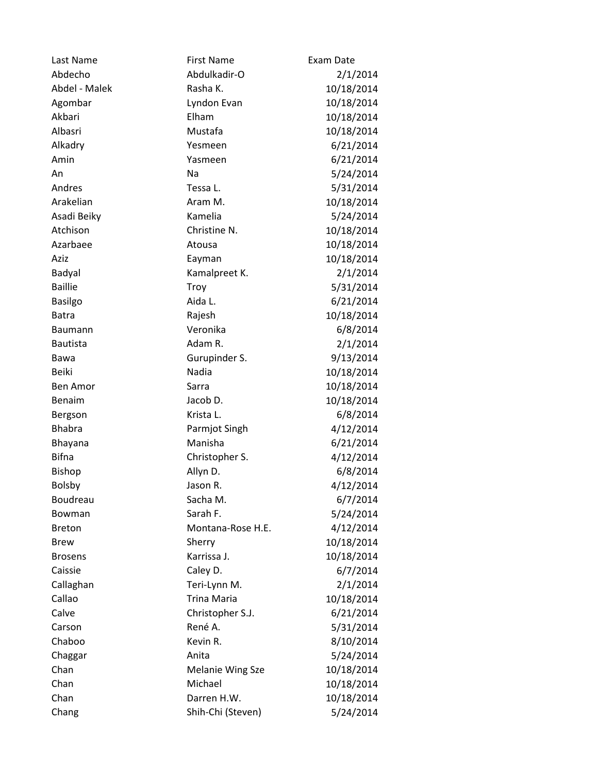| Last Name       | <b>First Name</b>       | Exam Date  |
|-----------------|-------------------------|------------|
| Abdecho         | Abdulkadir-O            | 2/1/2014   |
| Abdel - Malek   | Rasha K.                | 10/18/2014 |
| Agombar         | Lyndon Evan             | 10/18/2014 |
| Akbari          | Elham                   | 10/18/2014 |
| Albasri         | Mustafa                 | 10/18/2014 |
| Alkadry         | Yesmeen                 | 6/21/2014  |
| Amin            | Yasmeen                 | 6/21/2014  |
| An              | Na                      | 5/24/2014  |
| Andres          | Tessa L.                | 5/31/2014  |
| Arakelian       | Aram M.                 | 10/18/2014 |
| Asadi Beiky     | Kamelia                 | 5/24/2014  |
| Atchison        | Christine N.            | 10/18/2014 |
| Azarbaee        | Atousa                  | 10/18/2014 |
| Aziz            | Eayman                  | 10/18/2014 |
| Badyal          | Kamalpreet K.           | 2/1/2014   |
| <b>Baillie</b>  | Troy                    | 5/31/2014  |
| <b>Basilgo</b>  | Aida L.                 | 6/21/2014  |
| <b>Batra</b>    | Rajesh                  | 10/18/2014 |
| <b>Baumann</b>  | Veronika                | 6/8/2014   |
| <b>Bautista</b> | Adam R.                 | 2/1/2014   |
| Bawa            | Gurupinder S.           | 9/13/2014  |
| <b>Beiki</b>    | Nadia                   | 10/18/2014 |
| <b>Ben Amor</b> | Sarra                   | 10/18/2014 |
| Benaim          | Jacob D.                | 10/18/2014 |
| Bergson         | Krista L.               | 6/8/2014   |
| <b>Bhabra</b>   | Parmjot Singh           | 4/12/2014  |
| Bhayana         | Manisha                 | 6/21/2014  |
| <b>Bifna</b>    | Christopher S.          | 4/12/2014  |
| Bishop          | Allyn D.                | 6/8/2014   |
| <b>Bolsby</b>   | Jason R.                | 4/12/2014  |
| Boudreau        | Sacha M.                | 6/7/2014   |
| Bowman          | Sarah F.                | 5/24/2014  |
| <b>Breton</b>   | Montana-Rose H.E.       | 4/12/2014  |
| <b>Brew</b>     | Sherry                  | 10/18/2014 |
| <b>Brosens</b>  | Karrissa J.             | 10/18/2014 |
| Caissie         | Caley D.                | 6/7/2014   |
| Callaghan       | Teri-Lynn M.            | 2/1/2014   |
| Callao          | <b>Trina Maria</b>      | 10/18/2014 |
| Calve           | Christopher S.J.        | 6/21/2014  |
| Carson          | René A.                 | 5/31/2014  |
| Chaboo          | Kevin R.                | 8/10/2014  |
| Chaggar         | Anita                   | 5/24/2014  |
| Chan            | <b>Melanie Wing Sze</b> | 10/18/2014 |
| Chan            | Michael                 | 10/18/2014 |
| Chan            | Darren H.W.             | 10/18/2014 |
| Chang           | Shih-Chi (Steven)       | 5/24/2014  |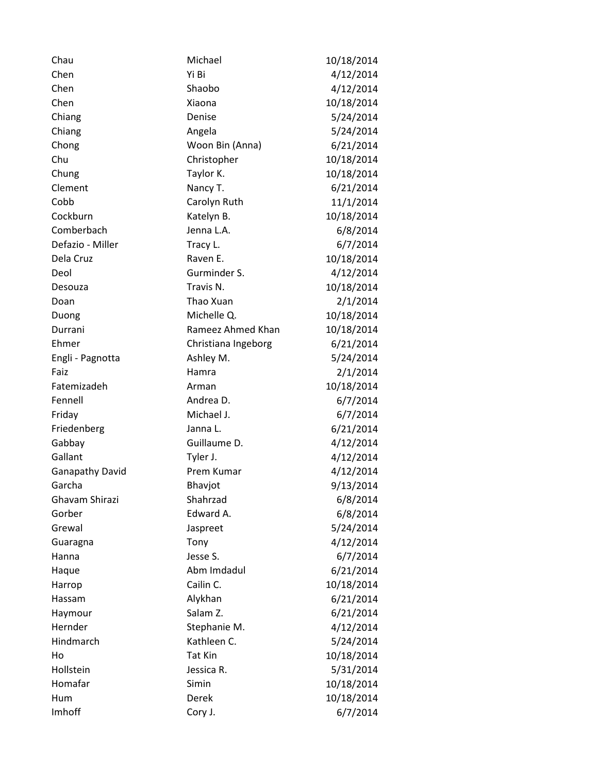| Chau                   | Michael             | 10/18/2014 |
|------------------------|---------------------|------------|
| Chen                   | Yi Bi               | 4/12/2014  |
| Chen                   | Shaobo              | 4/12/2014  |
| Chen                   | Xiaona              | 10/18/2014 |
| Chiang                 | Denise              | 5/24/2014  |
| Chiang                 | Angela              | 5/24/2014  |
| Chong                  | Woon Bin (Anna)     | 6/21/2014  |
| Chu                    | Christopher         | 10/18/2014 |
| Chung                  | Taylor K.           | 10/18/2014 |
| Clement                | Nancy T.            | 6/21/2014  |
| Cobb                   | Carolyn Ruth        | 11/1/2014  |
| Cockburn               | Katelyn B.          | 10/18/2014 |
| Comberbach             | Jenna L.A.          | 6/8/2014   |
| Defazio - Miller       | Tracy L.            | 6/7/2014   |
| Dela Cruz              | Raven E.            | 10/18/2014 |
| Deol                   | Gurminder S.        | 4/12/2014  |
| Desouza                | Travis N.           | 10/18/2014 |
| Doan                   | Thao Xuan           | 2/1/2014   |
| Duong                  | Michelle Q.         | 10/18/2014 |
| Durrani                | Rameez Ahmed Khan   | 10/18/2014 |
| Ehmer                  | Christiana Ingeborg | 6/21/2014  |
| Engli - Pagnotta       | Ashley M.           | 5/24/2014  |
| Faiz                   | Hamra               | 2/1/2014   |
| Fatemizadeh            | Arman               | 10/18/2014 |
| Fennell                | Andrea D.           | 6/7/2014   |
| Friday                 | Michael J.          | 6/7/2014   |
| Friedenberg            | Janna L.            | 6/21/2014  |
| Gabbay                 | Guillaume D.        | 4/12/2014  |
| Gallant                | Tyler J.            | 4/12/2014  |
| <b>Ganapathy David</b> | Prem Kumar          | 4/12/2014  |
| Garcha                 | Bhavjot             | 9/13/2014  |
| Ghavam Shirazi         | Shahrzad            | 6/8/2014   |
| Gorber                 | Edward A.           | 6/8/2014   |
| Grewal                 | Jaspreet            | 5/24/2014  |
| Guaragna               | Tony                | 4/12/2014  |
| Hanna                  | Jesse S.            | 6/7/2014   |
| Haque                  | Abm Imdadul         | 6/21/2014  |
| Harrop                 | Cailin C.           | 10/18/2014 |
| Hassam                 | Alykhan             | 6/21/2014  |
| Haymour                | Salam Z.            | 6/21/2014  |
| Hernder                | Stephanie M.        | 4/12/2014  |
| Hindmarch              | Kathleen C.         | 5/24/2014  |
| Ho                     | Tat Kin             | 10/18/2014 |
| Hollstein              | Jessica R.          | 5/31/2014  |
| Homafar                | Simin               | 10/18/2014 |
| Hum                    | Derek               | 10/18/2014 |
| Imhoff                 | Cory J.             | 6/7/2014   |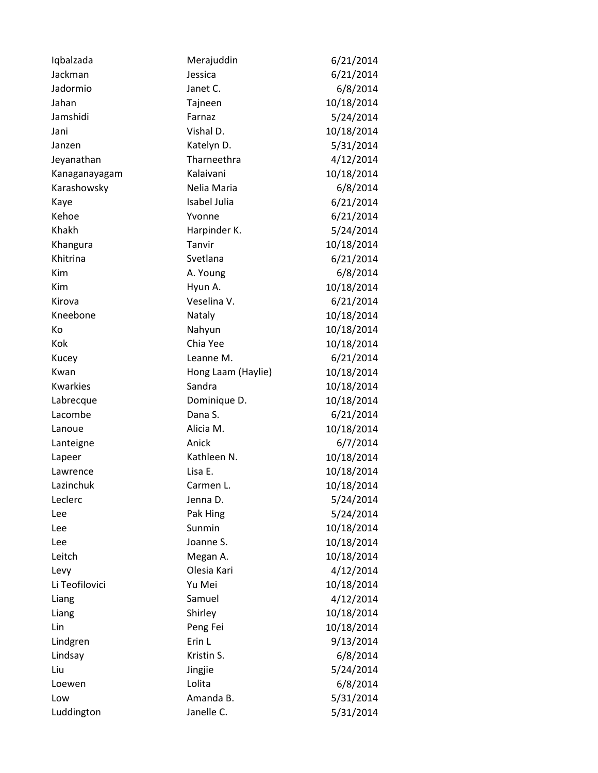| Iqbalzada       | Merajuddin         | 6/21/2014  |
|-----------------|--------------------|------------|
| Jackman         | Jessica            | 6/21/2014  |
| Jadormio        | Janet C.           | 6/8/2014   |
| Jahan           | Tajneen            | 10/18/2014 |
| Jamshidi        | Farnaz             | 5/24/2014  |
| Jani            | Vishal D.          | 10/18/2014 |
| Janzen          | Katelyn D.         | 5/31/2014  |
| Jeyanathan      | Tharneethra        | 4/12/2014  |
| Kanaganayagam   | Kalaivani          | 10/18/2014 |
| Karashowsky     | Nelia Maria        | 6/8/2014   |
| Kaye            | Isabel Julia       | 6/21/2014  |
| Kehoe           | Yvonne             | 6/21/2014  |
| Khakh           | Harpinder K.       | 5/24/2014  |
| Khangura        | Tanvir             | 10/18/2014 |
| Khitrina        | Svetlana           | 6/21/2014  |
| Kim             | A. Young           | 6/8/2014   |
| Kim             | Hyun A.            | 10/18/2014 |
| Kirova          | Veselina V.        | 6/21/2014  |
| Kneebone        | Nataly             | 10/18/2014 |
| Кo              | Nahyun             | 10/18/2014 |
| Kok             | Chia Yee           | 10/18/2014 |
| Kucey           | Leanne M.          | 6/21/2014  |
| Kwan            | Hong Laam (Haylie) | 10/18/2014 |
| <b>Kwarkies</b> | Sandra             | 10/18/2014 |
| Labrecque       | Dominique D.       | 10/18/2014 |
| Lacombe         | Dana S.            | 6/21/2014  |
| Lanoue          | Alicia M.          | 10/18/2014 |
| Lanteigne       | Anick              | 6/7/2014   |
| Lapeer          | Kathleen N.        | 10/18/2014 |
| Lawrence        | Lisa E.            | 10/18/2014 |
| Lazinchuk       | Carmen L.          | 10/18/2014 |
| Leclerc         | Jenna D.           | 5/24/2014  |
| Lee             | Pak Hing           | 5/24/2014  |
| Lee             | Sunmin             | 10/18/2014 |
| Lee             | Joanne S.          | 10/18/2014 |
| Leitch          | Megan A.           | 10/18/2014 |
| Levy            | Olesia Kari        | 4/12/2014  |
| Li Teofilovici  | Yu Mei             | 10/18/2014 |
| Liang           | Samuel             | 4/12/2014  |
| Liang           | Shirley            | 10/18/2014 |
| Lin             | Peng Fei           | 10/18/2014 |
| Lindgren        | Erin L             | 9/13/2014  |
| Lindsay         | Kristin S.         | 6/8/2014   |
| Liu             | Jingjie            | 5/24/2014  |
| Loewen          | Lolita             | 6/8/2014   |
| Low             | Amanda B.          | 5/31/2014  |
| Luddington      | Janelle C.         | 5/31/2014  |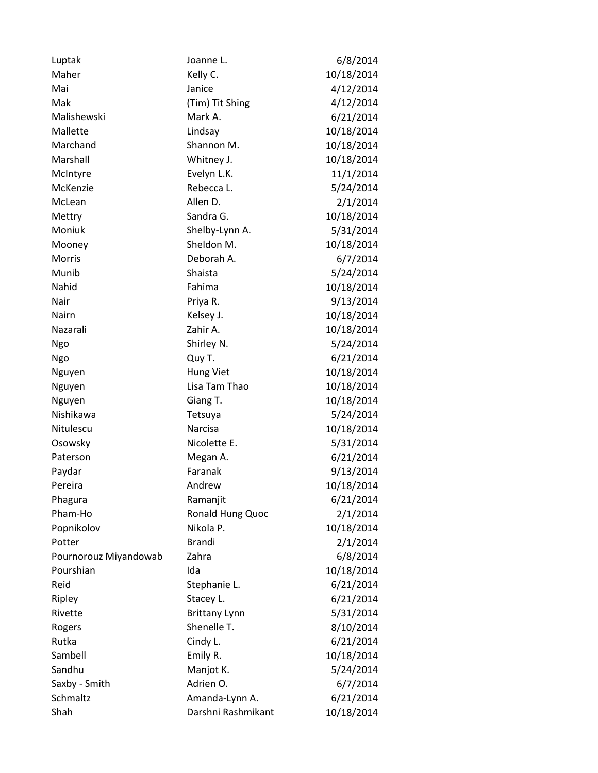| Luptak                | Joanne L.            | 6/8/2014   |
|-----------------------|----------------------|------------|
| Maher                 | Kelly C.             | 10/18/2014 |
| Mai                   | Janice               | 4/12/2014  |
| Mak                   | (Tim) Tit Shing      | 4/12/2014  |
| Malishewski           | Mark A.              | 6/21/2014  |
| Mallette              | Lindsay              | 10/18/2014 |
| Marchand              | Shannon M.           | 10/18/2014 |
| Marshall              | Whitney J.           | 10/18/2014 |
| McIntyre              | Evelyn L.K.          | 11/1/2014  |
| McKenzie              | Rebecca L.           | 5/24/2014  |
| McLean                | Allen D.             | 2/1/2014   |
| Mettry                | Sandra G.            | 10/18/2014 |
| Moniuk                | Shelby-Lynn A.       | 5/31/2014  |
| Mooney                | Sheldon M.           | 10/18/2014 |
| <b>Morris</b>         | Deborah A.           | 6/7/2014   |
| Munib                 | Shaista              | 5/24/2014  |
| Nahid                 | Fahima               | 10/18/2014 |
| Nair                  | Priya R.             | 9/13/2014  |
| Nairn                 | Kelsey J.            | 10/18/2014 |
| Nazarali              | Zahir A.             | 10/18/2014 |
| Ngo                   | Shirley N.           | 5/24/2014  |
| Ngo                   | Quy T.               | 6/21/2014  |
| Nguyen                | <b>Hung Viet</b>     | 10/18/2014 |
| Nguyen                | Lisa Tam Thao        | 10/18/2014 |
| Nguyen                | Giang T.             | 10/18/2014 |
| Nishikawa             | Tetsuya              | 5/24/2014  |
| Nitulescu             | Narcisa              | 10/18/2014 |
| Osowsky               | Nicolette E.         | 5/31/2014  |
| Paterson              | Megan A.             | 6/21/2014  |
| Paydar                | Faranak              | 9/13/2014  |
| Pereira               | Andrew               | 10/18/2014 |
| Phagura               | Ramanjit             | 6/21/2014  |
| Pham-Ho               | Ronald Hung Quoc     | 2/1/2014   |
| Popnikolov            | Nikola P.            | 10/18/2014 |
| Potter                | <b>Brandi</b>        | 2/1/2014   |
| Pournorouz Miyandowab | Zahra                | 6/8/2014   |
| Pourshian             | Ida                  | 10/18/2014 |
| Reid                  | Stephanie L.         | 6/21/2014  |
| Ripley                | Stacey L.            | 6/21/2014  |
| Rivette               | <b>Brittany Lynn</b> | 5/31/2014  |
| Rogers                | Shenelle T.          | 8/10/2014  |
| Rutka                 | Cindy L.             | 6/21/2014  |
| Sambell               | Emily R.             | 10/18/2014 |
| Sandhu                | Manjot K.            | 5/24/2014  |
| Saxby - Smith         | Adrien O.            | 6/7/2014   |
| Schmaltz              | Amanda-Lynn A.       | 6/21/2014  |
| Shah                  | Darshni Rashmikant   | 10/18/2014 |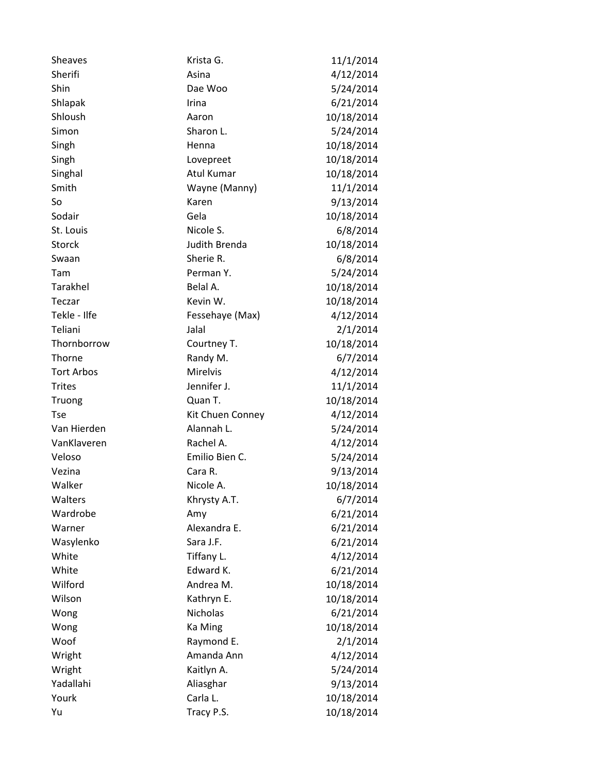| <b>Sheaves</b>    | Krista G.         | 11/1/2014  |
|-------------------|-------------------|------------|
| Sherifi           | Asina             | 4/12/2014  |
| Shin              | Dae Woo           | 5/24/2014  |
| Shlapak           | Irina             | 6/21/2014  |
| Shloush           | Aaron             | 10/18/2014 |
| Simon             | Sharon L.         | 5/24/2014  |
| Singh             | Henna             | 10/18/2014 |
| Singh             | Lovepreet         | 10/18/2014 |
| Singhal           | <b>Atul Kumar</b> | 10/18/2014 |
| Smith             | Wayne (Manny)     | 11/1/2014  |
| So                | Karen             | 9/13/2014  |
| Sodair            | Gela              | 10/18/2014 |
| St. Louis         | Nicole S.         | 6/8/2014   |
| <b>Storck</b>     | Judith Brenda     | 10/18/2014 |
| Swaan             | Sherie R.         | 6/8/2014   |
| Tam               | Perman Y.         | 5/24/2014  |
| Tarakhel          | Belal A.          | 10/18/2014 |
| Teczar            | Kevin W.          | 10/18/2014 |
| Tekle - Ilfe      | Fessehaye (Max)   | 4/12/2014  |
| Teliani           | Jalal             | 2/1/2014   |
| Thornborrow       | Courtney T.       | 10/18/2014 |
| Thorne            | Randy M.          | 6/7/2014   |
| <b>Tort Arbos</b> | <b>Mirelvis</b>   | 4/12/2014  |
| <b>Trites</b>     | Jennifer J.       | 11/1/2014  |
| Truong            | Quan T.           | 10/18/2014 |
| <b>Tse</b>        | Kit Chuen Conney  | 4/12/2014  |
| Van Hierden       | Alannah L.        | 5/24/2014  |
| VanKlaveren       | Rachel A.         | 4/12/2014  |
| Veloso            | Emilio Bien C.    | 5/24/2014  |
| Vezina            | Cara R.           | 9/13/2014  |
| Walker            | Nicole A.         | 10/18/2014 |
| Walters           | Khrysty A.T.      | 6/7/2014   |
| Wardrobe          | Amy               | 6/21/2014  |
| Warner            | Alexandra E.      | 6/21/2014  |
| Wasylenko         | Sara J.F.         | 6/21/2014  |
| White             | Tiffany L.        | 4/12/2014  |
| White             | Edward K.         | 6/21/2014  |
| Wilford           | Andrea M.         | 10/18/2014 |
| Wilson            | Kathryn E.        | 10/18/2014 |
| Wong              | <b>Nicholas</b>   | 6/21/2014  |
| Wong              | Ka Ming           | 10/18/2014 |
| Woof              | Raymond E.        | 2/1/2014   |
| Wright            | Amanda Ann        | 4/12/2014  |
| Wright            | Kaitlyn A.        | 5/24/2014  |
| Yadallahi         | Aliasghar         | 9/13/2014  |
| Yourk             | Carla L.          | 10/18/2014 |
| Yu                | Tracy P.S.        | 10/18/2014 |